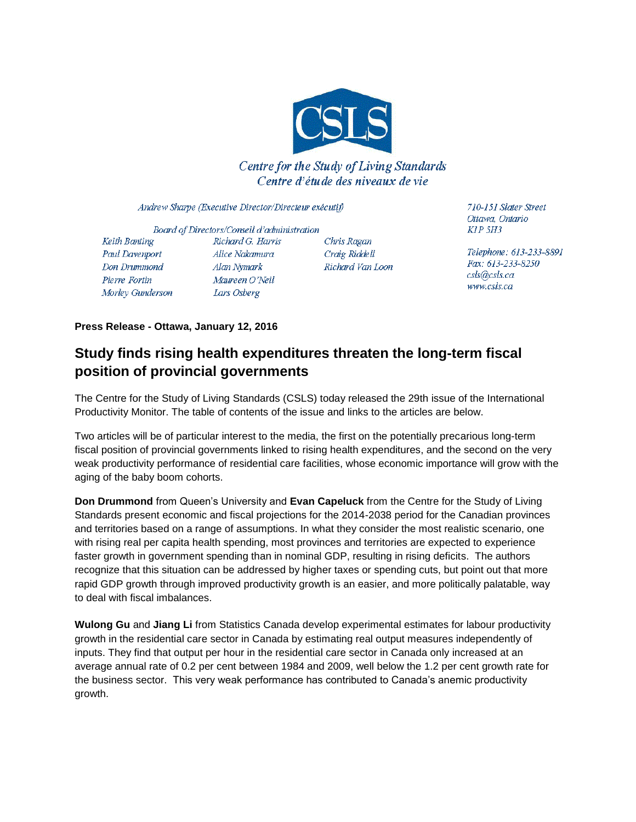

Centre for the Study of Living Standards Centre d'étude des niveaux de vie

Andrew Sharpe (Executive Director/Directeur exécutif)

Board of Directors/Conseil d'administration Keith Banting Richard G. Harris Paul Davenport Alice Nakamura Don Drummond Alan Nymark Pierre Fortin Maureen O'Neil Morley Gunderson Lars Osberg

Chris Ragan Craig Riddell Richard Van Loon 710-151 Slater Street Ottawa, Ontario  $KIP$  5H3

Telephone: 613-233-8891 Fax: 613-233-8250 csls@csls.ca www.csls.ca

**Press Release - Ottawa, January 12, 2016**

## **Study finds rising health expenditures threaten the long-term fiscal position of provincial governments**

The Centre for the Study of Living Standards (CSLS) today released the 29th issue of the International Productivity Monitor. The table of contents of the issue and links to the articles are below.

Two articles will be of particular interest to the media, the first on the potentially precarious long-term fiscal position of provincial governments linked to rising health expenditures, and the second on the very weak productivity performance of residential care facilities, whose economic importance will grow with the aging of the baby boom cohorts.

**Don Drummond** from Queen's University and **Evan Capeluck** from the Centre for the Study of Living Standards present economic and fiscal projections for the 2014-2038 period for the Canadian provinces and territories based on a range of assumptions. In what they consider the most realistic scenario, one with rising real per capita health spending, most provinces and territories are expected to experience faster growth in government spending than in nominal GDP, resulting in rising deficits. The authors recognize that this situation can be addressed by higher taxes or spending cuts, but point out that more rapid GDP growth through improved productivity growth is an easier, and more politically palatable, way to deal with fiscal imbalances.

**Wulong Gu** and **Jiang Li** from Statistics Canada develop experimental estimates for labour productivity growth in the residential care sector in Canada by estimating real output measures independently of inputs. They find that output per hour in the residential care sector in Canada only increased at an average annual rate of 0.2 per cent between 1984 and 2009, well below the 1.2 per cent growth rate for the business sector. This very weak performance has contributed to Canada's anemic productivity growth.